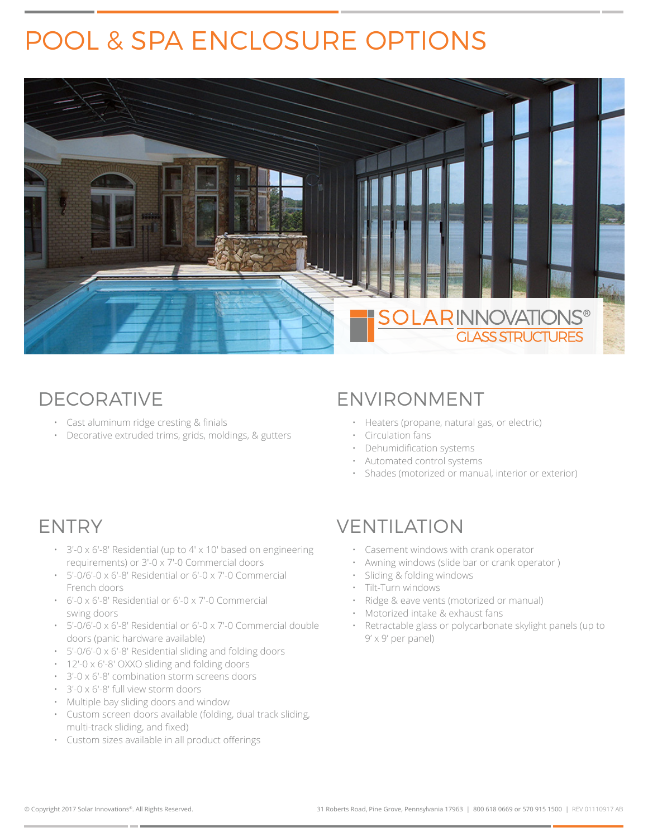# POOL & SPA ENCLOSURE OPTIONS



## DECORATIVE

- Cast aluminum ridge cresting & finials
- Decorative extruded trims, grids, moldings, & gutters

### ENVIRONMENT

- Heaters (propane, natural gas, or electric)
- Circulation fans
- Dehumidification systems
- Automated control systems
- Shades (motorized or manual, interior or exterior)

## ENTRY

- 3'-0 x 6'-8' Residential (up to 4' x 10' based on engineering requirements) or 3'-0 x 7'-0 Commercial doors
- 5'-0/6'-0 x 6'-8' Residential or 6'-0 x 7'-0 Commercial French doors
- 6'-0 x 6'-8' Residential or 6'-0 x 7'-0 Commercial swing doors
- 5'-0/6'-0 x 6'-8' Residential or 6'-0 x 7'-0 Commercial double doors (panic hardware available)
- 5'-0/6'-0 x 6'-8' Residential sliding and folding doors
- 12'-0 x 6'-8' OXXO sliding and folding doors
- 3'-0 x 6'-8' combination storm screens doors
- 3'-0 x 6'-8' full view storm doors
- Multiple bay sliding doors and window
- Custom screen doors available (folding, dual track sliding, multi-track sliding, and fixed)
- Custom sizes available in all product offerings

## VENTILATION

- Casement windows with crank operator
- Awning windows (slide bar or crank operator )
- Sliding & folding windows
- Tilt-Turn windows
- Ridge & eave vents (motorized or manual)
- Motorized intake & exhaust fans
- Retractable glass or polycarbonate skylight panels (up to 9' x 9' per panel)